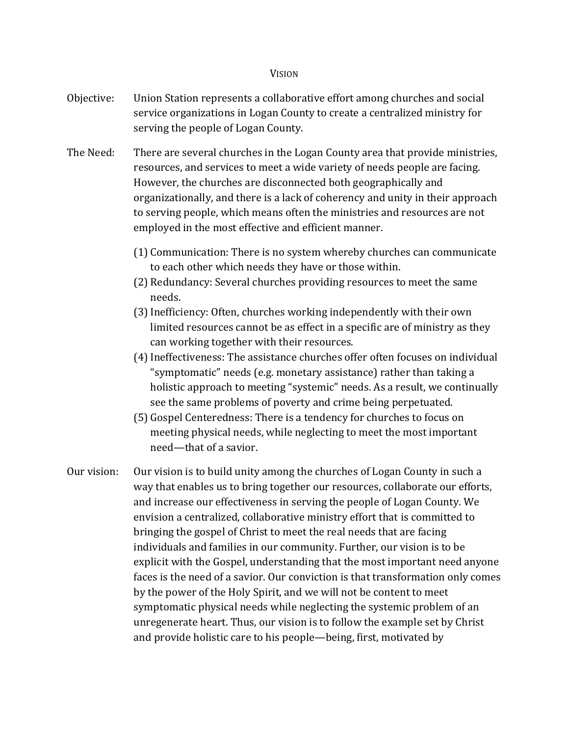## **VISION**

- Objective: Union Station represents a collaborative effort among churches and social service organizations in Logan County to create a centralized ministry for serving the people of Logan County.
- The Need: There are several churches in the Logan County area that provide ministries, resources, and services to meet a wide variety of needs people are facing. However, the churches are disconnected both geographically and organizationally, and there is a lack of coherency and unity in their approach to serving people, which means often the ministries and resources are not employed in the most effective and efficient manner.
	- (1) Communication: There is no system whereby churches can communicate to each other which needs they have or those within.
	- (2) Redundancy: Several churches providing resources to meet the same needs.
	- (3)Inefficiency: Often, churches working independently with their own limited resources cannot be as effect in a specific are of ministry as they can working together with their resources.
	- (4)Ineffectiveness: The assistance churches offer often focuses on individual "symptomatic" needs (e.g. monetary assistance) rather than taking a holistic approach to meeting "systemic" needs. As a result, we continually see the same problems of poverty and crime being perpetuated.
	- (5) Gospel Centeredness: There is a tendency for churches to focus on meeting physical needs, while neglecting to meet the most important need—that of a savior.
- Our vision: Our vision is to build unity among the churches of Logan County in such a way that enables us to bring together our resources, collaborate our efforts, and increase our effectiveness in serving the people of Logan County. We envision a centralized, collaborative ministry effort that is committed to bringing the gospel of Christ to meet the real needs that are facing individuals and families in our community. Further, our vision is to be explicit with the Gospel, understanding that the most important need anyone faces is the need of a savior. Our conviction is that transformation only comes by the power of the Holy Spirit, and we will not be content to meet symptomatic physical needs while neglecting the systemic problem of an unregenerate heart. Thus, our vision is to follow the example set by Christ and provide holistic care to his people—being, first, motivated by